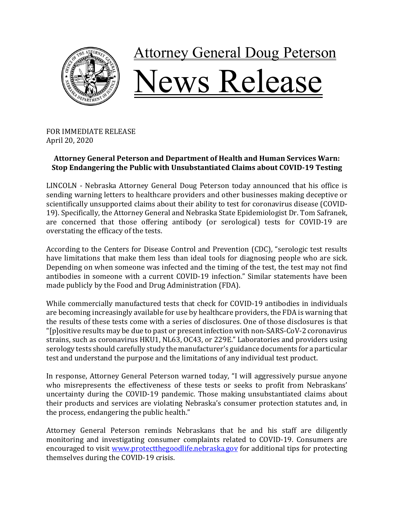

FOR IMMEDIATE RELEASE April 20, 2020

## Attorney General Peterson and Department of Health and Human Services Warn: **Stop Endangering the Public with Unsubstantiated Claims about COVID-19 Testing**

LINCOLN - Nebraska Attorney General Doug Peterson today announced that his office is sending warning letters to healthcare providers and other businesses making deceptive or scientifically unsupported claims about their ability to test for coronavirus disease (COVID-19). Specifically, the Attorney General and Nebraska State Epidemiologist Dr. Tom Safranek, are concerned that those offering antibody (or serological) tests for COVID-19 are overstating the efficacy of the tests.

According to the Centers for Disease Control and Prevention (CDC), "serologic test results have limitations that make them less than ideal tools for diagnosing people who are sick. Depending on when someone was infected and the timing of the test, the test may not find antibodies in someone with a current COVID-19 infection." Similar statements have been made publicly by the Food and Drug Administration (FDA).

While commercially manufactured tests that check for COVID-19 antibodies in individuals are becoming increasingly available for use by healthcare providers, the FDA is warning that the results of these tests come with a series of disclosures. One of those disclosures is that "[p]ositive results may be due to past or present infection with non-SARS-CoV-2 coronavirus strains, such as coronavirus HKU1, NL63, OC43, or 229E." Laboratories and providers using serology tests should carefully study the manufacturer's guidance documents for a particular test and understand the purpose and the limitations of any individual test product.

In response, Attorney General Peterson warned today, "I will aggressively pursue anyone who misrepresents the effectiveness of these tests or seeks to profit from Nebraskans' uncertainty during the COVID-19 pandemic. Those making unsubstantiated claims about their products and services are violating Nebraska's consumer protection statutes and, in the process, endangering the public health."

Attorney General Peterson reminds Nebraskans that he and his staff are diligently monitoring and investigating consumer complaints related to COVID-19. Consumers are encouraged to visit www.protectthegoodlife.nebraska.gov for additional tips for protecting themselves during the COVID-19 crisis.